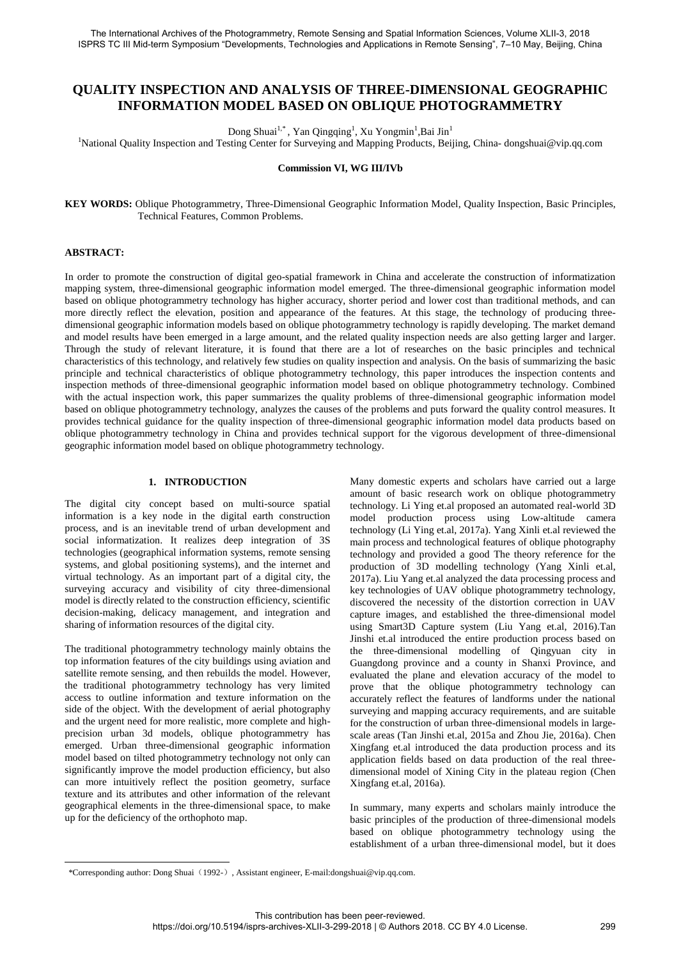# **QUALITY INSPECTION AND ANALYSIS OF THREE-DIMENSIONAL GEOGRAPHIC INFORMATION MODEL BASED ON OBLIQUE PHOTOGRAMMETRY**

Dong Shuai<sup>1,\*</sup>, Yan Qingqing<sup>1</sup>, Xu Yongmin<sup>1</sup>,Bai Jin<sup>1</sup>

<sup>1</sup>National Quality Inspection and Testing Center for Surveying and Mapping Products, Beijing, China- dongshuai@vip.qq.com

**Commission VI, WG III/IVb** 

**KEY WORDS:** Oblique Photogrammetry, Three-Dimensional Geographic Information Model, Quality Inspection, Basic Principles, Technical Features, Common Problems.

#### **ABSTRACT:**

 $\overline{a}$ 

In order to promote the construction of digital geo-spatial framework in China and accelerate the construction of informatization mapping system, three-dimensional geographic information model emerged. The three-dimensional geographic information model based on oblique photogrammetry technology has higher accuracy, shorter period and lower cost than traditional methods, and can more directly reflect the elevation, position and appearance of the features. At this stage, the technology of producing threedimensional geographic information models based on oblique photogrammetry technology is rapidly developing. The market demand and model results have been emerged in a large amount, and the related quality inspection needs are also getting larger and larger. Through the study of relevant literature, it is found that there are a lot of researches on the basic principles and technical characteristics of this technology, and relatively few studies on quality inspection and analysis. On the basis of summarizing the basic principle and technical characteristics of oblique photogrammetry technology, this paper introduces the inspection contents and inspection methods of three-dimensional geographic information model based on oblique photogrammetry technology. Combined with the actual inspection work, this paper summarizes the quality problems of three-dimensional geographic information model based on oblique photogrammetry technology, analyzes the causes of the problems and puts forward the quality control measures. It provides technical guidance for the quality inspection of three-dimensional geographic information model data products based on oblique photogrammetry technology in China and provides technical support for the vigorous development of three-dimensional geographic information model based on oblique photogrammetry technology.

#### **1. INTRODUCTION**

The digital city concept based on multi-source spatial information is a key node in the digital earth construction process, and is an inevitable trend of urban development and social informatization. It realizes deep integration of 3S technologies (geographical information systems, remote sensing systems, and global positioning systems), and the internet and virtual technology. As an important part of a digital city, the surveying accuracy and visibility of city three-dimensional model is directly related to the construction efficiency, scientific decision-making, delicacy management, and integration and sharing of information resources of the digital city.

The traditional photogrammetry technology mainly obtains the top information features of the city buildings using aviation and satellite remote sensing, and then rebuilds the model. However, the traditional photogrammetry technology has very limited access to outline information and texture information on the side of the object. With the development of aerial photography and the urgent need for more realistic, more complete and highprecision urban 3d models, oblique photogrammetry has emerged. Urban three-dimensional geographic information model based on tilted photogrammetry technology not only can significantly improve the model production efficiency, but also can more intuitively reflect the position geometry, surface texture and its attributes and other information of the relevant geographical elements in the three-dimensional space, to make up for the deficiency of the orthophoto map.

Many domestic experts and scholars have carried out a large amount of basic research work on oblique photogrammetry technology. Li Ying et.al proposed an automated real-world 3D model production process using Low-altitude camera technology (Li Ying et.al, 2017a). Yang Xinli et.al reviewed the main process and technological features of oblique photography technology and provided a good The theory reference for the production of 3D modelling technology (Yang Xinli et.al, 2017a). Liu Yang et.al analyzed the data processing process and key technologies of UAV oblique photogrammetry technology, discovered the necessity of the distortion correction in UAV capture images, and established the three-dimensional model using Smart3D Capture system (Liu Yang et.al, 2016).Tan Jinshi et.al introduced the entire production process based on the three-dimensional modelling of Qingyuan city in Guangdong province and a county in Shanxi Province, and evaluated the plane and elevation accuracy of the model to prove that the oblique photogrammetry technology can accurately reflect the features of landforms under the national surveying and mapping accuracy requirements, and are suitable for the construction of urban three-dimensional models in largescale areas (Tan Jinshi et.al, 2015a and Zhou Jie, 2016a). Chen Xingfang et.al introduced the data production process and its application fields based on data production of the real threedimensional model of Xining City in the plateau region (Chen Xingfang et.al, 2016a).

In summary, many experts and scholars mainly introduce the basic principles of the production of three-dimensional models based on oblique photogrammetry technology using the establishment of a urban three-dimensional model, but it does

<sup>\*</sup>Corresponding author: Dong Shuai(1992-), Assistant engineer, E-mail:dongshuai@vip.qq.com.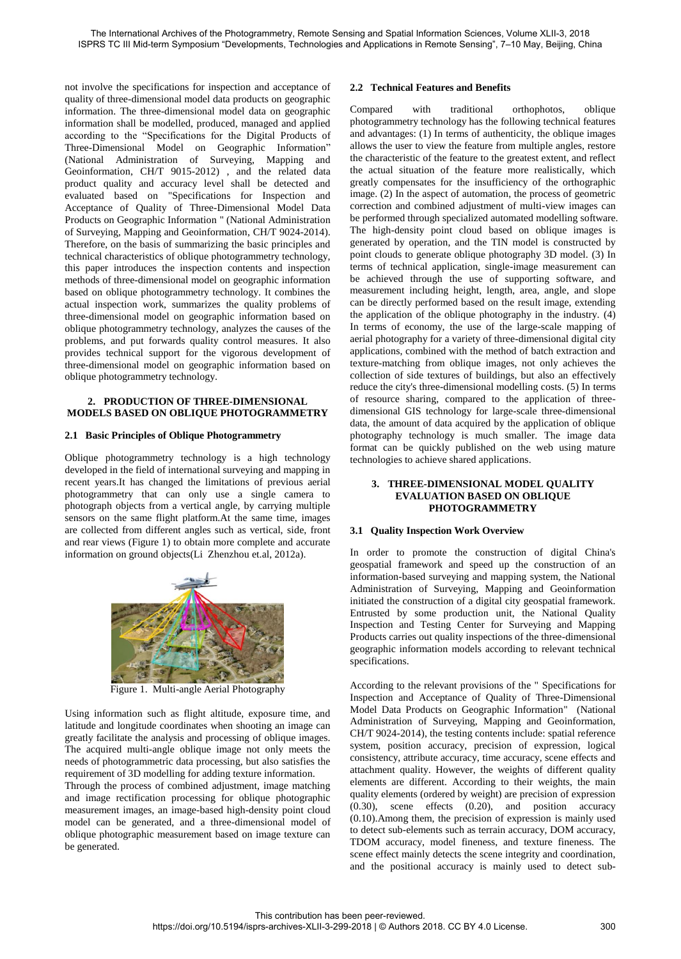not involve the specifications for inspection and acceptance of quality of three-dimensional model data products on geographic information. The three-dimensional model data on geographic information shall be modelled, produced, managed and applied according to the "Specifications for the Digital Products of Three-Dimensional Model on Geographic Information" (National Administration of Surveying, Mapping and Geoinformation, CH/T 9015-2012) , and the related data product quality and accuracy level shall be detected and evaluated based on "Specifications for Inspection and Acceptance of Quality of Three-Dimensional Model Data Products on Geographic Information " (National Administration of Surveying, Mapping and Geoinformation, CH/T 9024-2014). Therefore, on the basis of summarizing the basic principles and technical characteristics of oblique photogrammetry technology, this paper introduces the inspection contents and inspection methods of three-dimensional model on geographic information based on oblique photogrammetry technology. It combines the actual inspection work, summarizes the quality problems of three-dimensional model on geographic information based on oblique photogrammetry technology, analyzes the causes of the problems, and put forwards quality control measures. It also provides technical support for the vigorous development of three-dimensional model on geographic information based on oblique photogrammetry technology.

#### **2. PRODUCTION OF THREE-DIMENSIONAL MODELS BASED ON OBLIQUE PHOTOGRAMMETRY**

### **2.1 Basic Principles of Oblique Photogrammetry**

Oblique photogrammetry technology is a high technology developed in the field of international surveying and mapping in recent years.It has changed the limitations of previous aerial photogrammetry that can only use a single camera to photograph objects from a vertical angle, by carrying multiple sensors on the same flight platform.At the same time, images are collected from different angles such as vertical, side, front and rear views (Figure 1) to obtain more complete and accurate information on ground objects(Li Zhenzhou et.al, 2012a).



Figure 1. Multi-angle Aerial Photography

Using information such as flight altitude, exposure time, and latitude and longitude coordinates when shooting an image can greatly facilitate the analysis and processing of oblique images. The acquired multi-angle oblique image not only meets the needs of photogrammetric data processing, but also satisfies the requirement of 3D modelling for adding texture information.

Through the process of combined adjustment, image matching and image rectification processing for oblique photographic measurement images, an image-based high-density point cloud model can be generated, and a three-dimensional model of oblique photographic measurement based on image texture can be generated.

## **2.2 Technical Features and Benefits**

Compared with traditional orthophotos, oblique photogrammetry technology has the following technical features and advantages: (1) In terms of authenticity, the oblique images allows the user to view the feature from multiple angles, restore the characteristic of the feature to the greatest extent, and reflect the actual situation of the feature more realistically, which greatly compensates for the insufficiency of the orthographic image. (2) In the aspect of automation, the process of geometric correction and combined adjustment of multi-view images can be performed through specialized automated modelling software. The high-density point cloud based on oblique images is generated by operation, and the TIN model is constructed by point clouds to generate oblique photography 3D model. (3) In terms of technical application, single-image measurement can be achieved through the use of supporting software, and measurement including height, length, area, angle, and slope can be directly performed based on the result image, extending the application of the oblique photography in the industry. (4) In terms of economy, the use of the large-scale mapping of aerial photography for a variety of three-dimensional digital city applications, combined with the method of batch extraction and texture-matching from oblique images, not only achieves the collection of side textures of buildings, but also an effectively reduce the city's three-dimensional modelling costs. (5) In terms of resource sharing, compared to the application of threedimensional GIS technology for large-scale three-dimensional data, the amount of data acquired by the application of oblique photography technology is much smaller. The image data format can be quickly published on the web using mature technologies to achieve shared applications.

### **3. THREE-DIMENSIONAL MODEL QUALITY EVALUATION BASED ON OBLIQUE PHOTOGRAMMETRY**

### **3.1 Quality Inspection Work Overview**

In order to promote the construction of digital China's geospatial framework and speed up the construction of an information-based surveying and mapping system, the National Administration of Surveying, Mapping and Geoinformation initiated the construction of a digital city geospatial framework. Entrusted by some production unit, the National Quality Inspection and Testing Center for Surveying and Mapping Products carries out quality inspections of the three-dimensional geographic information models according to relevant technical specifications.

According to the relevant provisions of the " Specifications for Inspection and Acceptance of Quality of Three-Dimensional Model Data Products on Geographic Information" (National Administration of Surveying, Mapping and Geoinformation, CH/T 9024-2014), the testing contents include: spatial reference system, position accuracy, precision of expression, logical consistency, attribute accuracy, time accuracy, scene effects and attachment quality. However, the weights of different quality elements are different. According to their weights, the main quality elements (ordered by weight) are precision of expression (0.30), scene effects (0.20), and position accuracy (0.10).Among them, the precision of expression is mainly used to detect sub-elements such as terrain accuracy, DOM accuracy, TDOM accuracy, model fineness, and texture fineness. The scene effect mainly detects the scene integrity and coordination, and the positional accuracy is mainly used to detect sub-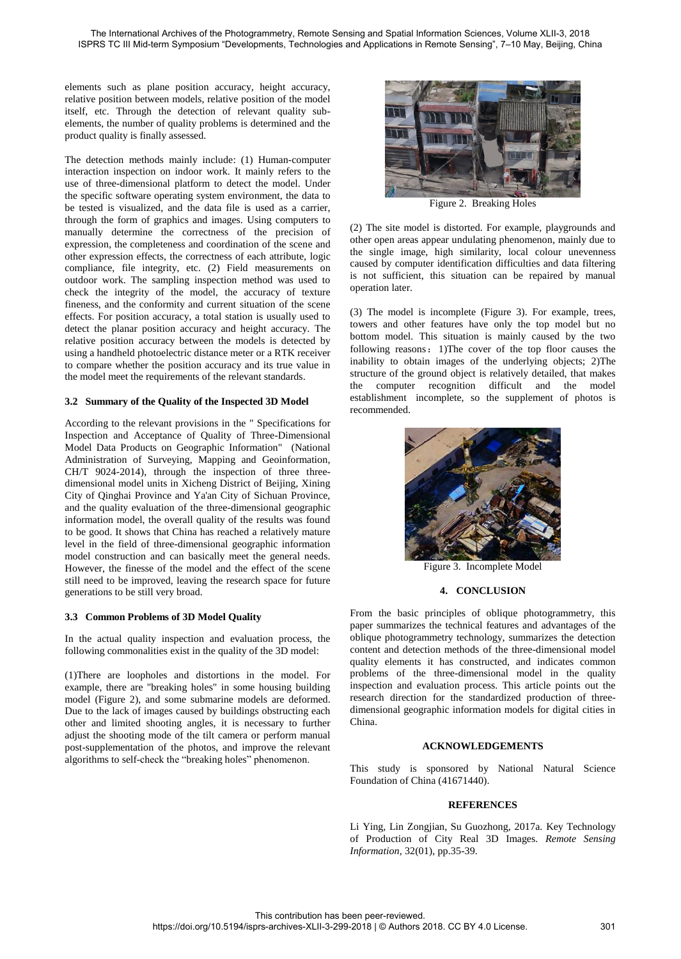elements such as plane position accuracy, height accuracy, relative position between models, relative position of the model itself, etc. Through the detection of relevant quality subelements, the number of quality problems is determined and the product quality is finally assessed.

The detection methods mainly include: (1) Human-computer interaction inspection on indoor work. It mainly refers to the use of three-dimensional platform to detect the model. Under the specific software operating system environment, the data to be tested is visualized, and the data file is used as a carrier, through the form of graphics and images. Using computers to manually determine the correctness of the precision of expression, the completeness and coordination of the scene and other expression effects, the correctness of each attribute, logic compliance, file integrity, etc. (2) Field measurements on outdoor work. The sampling inspection method was used to check the integrity of the model, the accuracy of texture fineness, and the conformity and current situation of the scene effects. For position accuracy, a total station is usually used to detect the planar position accuracy and height accuracy. The relative position accuracy between the models is detected by using a handheld photoelectric distance meter or a RTK receiver to compare whether the position accuracy and its true value in the model meet the requirements of the relevant standards.

### **3.2 Summary of the Quality of the Inspected 3D Model**

According to the relevant provisions in the " Specifications for Inspection and Acceptance of Quality of Three-Dimensional Model Data Products on Geographic Information" (National Administration of Surveying, Mapping and Geoinformation, CH/T 9024-2014), through the inspection of three threedimensional model units in Xicheng District of Beijing, Xining City of Qinghai Province and Ya'an City of Sichuan Province, and the quality evaluation of the three-dimensional geographic information model, the overall quality of the results was found to be good. It shows that China has reached a relatively mature level in the field of three-dimensional geographic information model construction and can basically meet the general needs. However, the finesse of the model and the effect of the scene still need to be improved, leaving the research space for future generations to be still very broad.

### **3.3 Common Problems of 3D Model Quality**

In the actual quality inspection and evaluation process, the following commonalities exist in the quality of the 3D model:

(1)There are loopholes and distortions in the model. For example, there are "breaking holes" in some housing building model (Figure 2), and some submarine models are deformed. Due to the lack of images caused by buildings obstructing each other and limited shooting angles, it is necessary to further adjust the shooting mode of the tilt camera or perform manual post-supplementation of the photos, and improve the relevant algorithms to self-check the "breaking holes" phenomenon.



Figure 2. Breaking Holes

(2) The site model is distorted. For example, playgrounds and other open areas appear undulating phenomenon, mainly due to the single image, high similarity, local colour unevenness caused by computer identification difficulties and data filtering is not sufficient, this situation can be repaired by manual operation later.

(3) The model is incomplete (Figure 3). For example, trees, towers and other features have only the top model but no bottom model. This situation is mainly caused by the two following reasons:1)The cover of the top floor causes the inability to obtain images of the underlying objects; 2)The structure of the ground object is relatively detailed, that makes the computer recognition difficult and the model establishment incomplete, so the supplement of photos is recommended.



Figure 3. Incomplete Model

### **4. CONCLUSION**

From the basic principles of oblique photogrammetry, this paper summarizes the technical features and advantages of the oblique photogrammetry technology, summarizes the detection content and detection methods of the three-dimensional model quality elements it has constructed, and indicates common problems of the three-dimensional model in the quality inspection and evaluation process. This article points out the research direction for the standardized production of threedimensional geographic information models for digital cities in China.

### **ACKNOWLEDGEMENTS**

This study is sponsored by National Natural Science Foundation of China (41671440).

### **REFERENCES**

Li Ying, Lin Zongjian, Su Guozhong, 2017a. Key Technology of Production of City Real 3D Images. *Remote Sensing Information*, 32(01), pp.35-39.